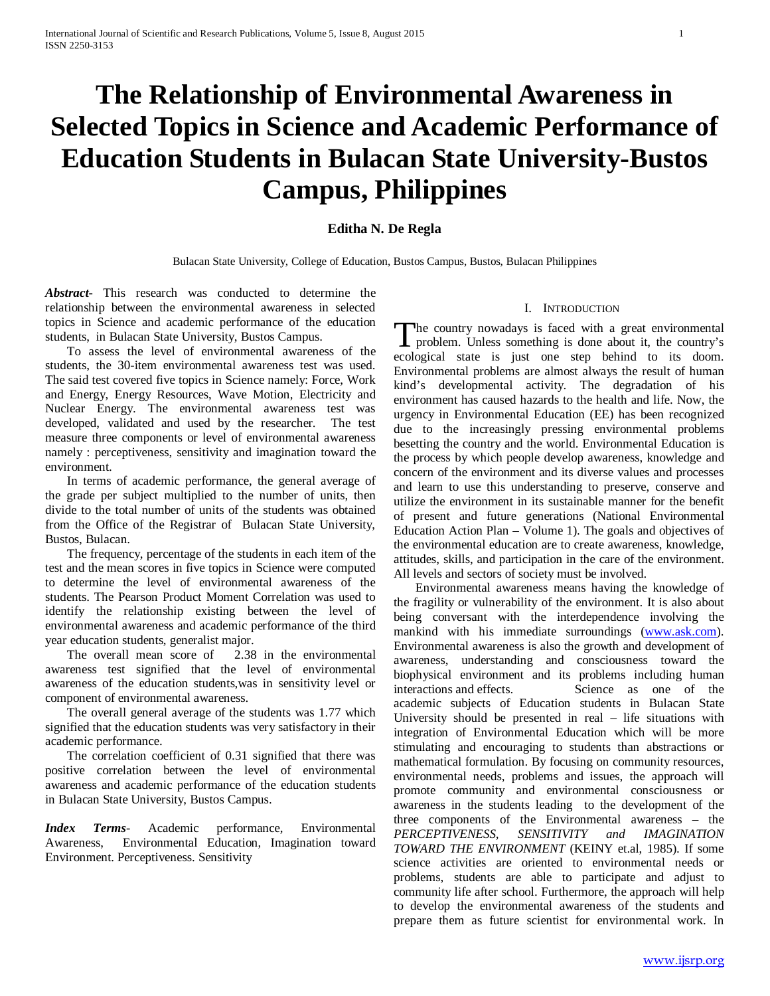# **The Relationship of Environmental Awareness in Selected Topics in Science and Academic Performance of Education Students in Bulacan State University-Bustos Campus, Philippines**

# **Editha N. De Regla**

Bulacan State University, College of Education, Bustos Campus, Bustos, Bulacan Philippines

*Abstract***-** This research was conducted to determine the relationship between the environmental awareness in selected topics in Science and academic performance of the education students, in Bulacan State University, Bustos Campus.

 To assess the level of environmental awareness of the students, the 30-item environmental awareness test was used. The said test covered five topics in Science namely: Force, Work and Energy, Energy Resources, Wave Motion, Electricity and Nuclear Energy. The environmental awareness test was developed, validated and used by the researcher. The test measure three components or level of environmental awareness namely : perceptiveness, sensitivity and imagination toward the environment.

 In terms of academic performance, the general average of the grade per subject multiplied to the number of units, then divide to the total number of units of the students was obtained from the Office of the Registrar of Bulacan State University, Bustos, Bulacan.

 The frequency, percentage of the students in each item of the test and the mean scores in five topics in Science were computed to determine the level of environmental awareness of the students. The Pearson Product Moment Correlation was used to identify the relationship existing between the level of environmental awareness and academic performance of the third year education students, generalist major.

 The overall mean score of 2.38 in the environmental awareness test signified that the level of environmental awareness of the education students,was in sensitivity level or component of environmental awareness.

 The overall general average of the students was 1.77 which signified that the education students was very satisfactory in their academic performance.

 The correlation coefficient of 0.31 signified that there was positive correlation between the level of environmental awareness and academic performance of the education students in Bulacan State University, Bustos Campus.

*Index Terms*- Academic performance, Environmental Awareness, Environmental Education, Imagination toward Environment. Perceptiveness. Sensitivity

### I. INTRODUCTION

The country nowadays is faced with a great environmental problem. Unless something is done about it, the country's **I** problem. Unless something is done about it, the country's ecological state is just one step behind to its doom. Environmental problems are almost always the result of human kind's developmental activity. The degradation of his environment has caused hazards to the health and life. Now, the urgency in Environmental Education (EE) has been recognized due to the increasingly pressing environmental problems besetting the country and the world. Environmental Education is the process by which people develop awareness, knowledge and concern of the environment and its diverse values and processes and learn to use this understanding to preserve, conserve and utilize the environment in its sustainable manner for the benefit of present and future generations (National Environmental Education Action Plan – Volume 1). The goals and objectives of the environmental education are to create awareness, knowledge, attitudes, skills, and participation in the care of the environment. All levels and sectors of society must be involved.

 Environmental awareness means having the knowledge of the fragility or vulnerability of the environment. It is also about being conversant with the interdependence involving the mankind with his immediate surroundings [\(www.ask.com\)](http://www.ask.com/). Environmental awareness is also the growth and development of awareness, understanding and consciousness toward the biophysical environment and its problems including human interactions and effects. Science as one of the academic subjects of Education students in Bulacan State University should be presented in real – life situations with integration of Environmental Education which will be more stimulating and encouraging to students than abstractions or mathematical formulation. By focusing on community resources, environmental needs, problems and issues, the approach will promote community and environmental consciousness or awareness in the students leading to the development of the three components of the Environmental awareness – the *PERCEPTIVENESS, SENSITIVITY and IMAGINATION TOWARD THE ENVIRONMENT* (KEINY et.al, 1985). If some science activities are oriented to environmental needs or problems, students are able to participate and adjust to community life after school. Furthermore, the approach will help to develop the environmental awareness of the students and prepare them as future scientist for environmental work. In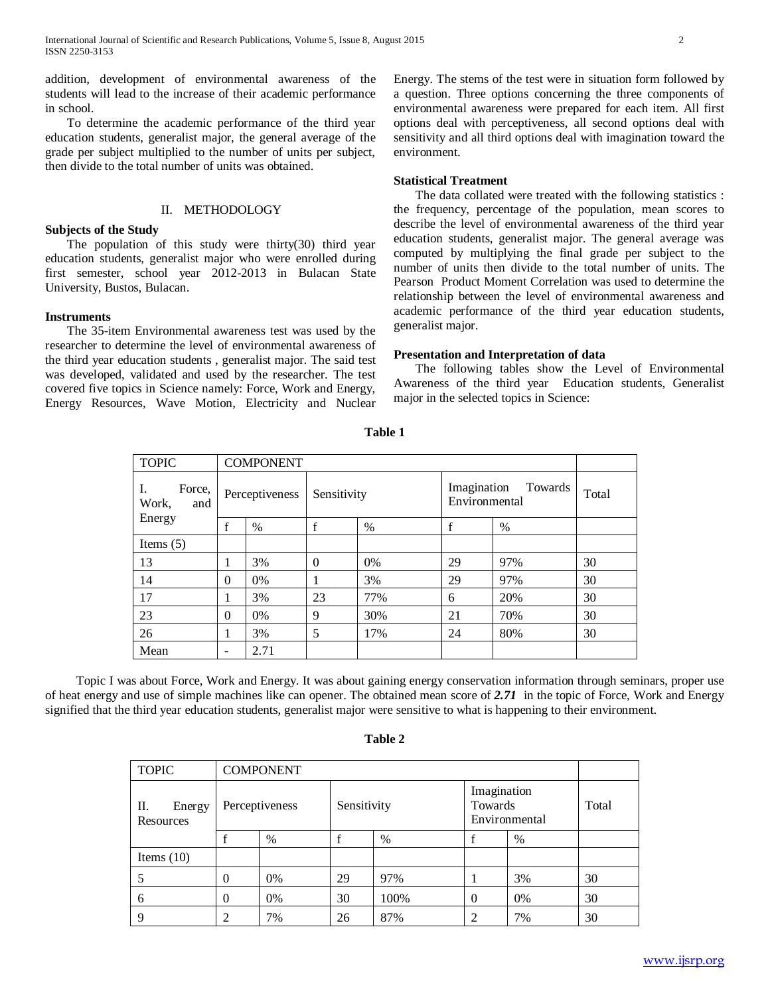addition, development of environmental awareness of the students will lead to the increase of their academic performance in school.

 To determine the academic performance of the third year education students, generalist major, the general average of the grade per subject multiplied to the number of units per subject, then divide to the total number of units was obtained.

#### II. METHODOLOGY

## **Subjects of the Study**

 The population of this study were thirty(30) third year education students, generalist major who were enrolled during first semester, school year 2012-2013 in Bulacan State University, Bustos, Bulacan.

### **Instruments**

 The 35-item Environmental awareness test was used by the researcher to determine the level of environmental awareness of the third year education students , generalist major. The said test was developed, validated and used by the researcher. The test covered five topics in Science namely: Force, Work and Energy, Energy Resources, Wave Motion, Electricity and Nuclear Energy. The stems of the test were in situation form followed by a question. Three options concerning the three components of environmental awareness were prepared for each item. All first options deal with perceptiveness, all second options deal with sensitivity and all third options deal with imagination toward the environment.

## **Statistical Treatment**

 The data collated were treated with the following statistics : the frequency, percentage of the population, mean scores to describe the level of environmental awareness of the third year education students, generalist major. The general average was computed by multiplying the final grade per subject to the number of units then divide to the total number of units. The Pearson Product Moment Correlation was used to determine the relationship between the level of environmental awareness and academic performance of the third year education students, generalist major.

#### **Presentation and Interpretation of data**

 The following tables show the Level of Environmental Awareness of the third year Education students, Generalist major in the selected topics in Science:

| <b>TOPIC</b>                 |   | <b>COMPONENT</b> |             |     |                                         |      |       |
|------------------------------|---|------------------|-------------|-----|-----------------------------------------|------|-------|
| Force,<br>Ι.<br>Work,<br>and |   | Perceptiveness   | Sensitivity |     | Imagination<br>Towards<br>Environmental |      | Total |
| Energy                       | t | %                | $\mathbf f$ | %   | f                                       | $\%$ |       |
| Items $(5)$                  |   |                  |             |     |                                         |      |       |
| 13                           |   | 3%               | $\Omega$    | 0%  | 29                                      | 97%  | 30    |
| 14                           | 0 | 0%               |             | 3%  | 29                                      | 97%  | 30    |
| 17                           |   | 3%               | 23          | 77% | 6                                       | 20%  | 30    |
| 23                           | 0 | 0%               | 9           | 30% | 21                                      | 70%  | 30    |
| 26                           |   | 3%               | 5           | 17% | 24                                      | 80%  | 30    |
| Mean                         |   | 2.71             |             |     |                                         |      |       |

**Table 1**

 Topic I was about Force, Work and Energy. It was about gaining energy conservation information through seminars, proper use of heat energy and use of simple machines like can opener. The obtained mean score of *2.71* in the topic of Force, Work and Energy signified that the third year education students, generalist major were sensitive to what is happening to their environment.

| <b>TOPIC</b>              |          | <b>COMPONENT</b> |             |      |                  |                              |       |
|---------------------------|----------|------------------|-------------|------|------------------|------------------------------|-------|
| П.<br>Energy<br>Resources |          | Perceptiveness   | Sensitivity |      | Towards          | Imagination<br>Environmental | Total |
|                           |          | %                |             | %    |                  | $\%$                         |       |
| Items $(10)$              |          |                  |             |      |                  |                              |       |
| 5                         | $\Omega$ | 0%               | 29          | 97%  |                  | 3%                           | 30    |
| 6                         | $\theta$ | 0%               | 30          | 100% | $\boldsymbol{0}$ | 0%                           | 30    |
| $\mathbf Q$               | 2        | 7%               | 26          | 87%  | 2                | 7%                           | 30    |

**Table 2**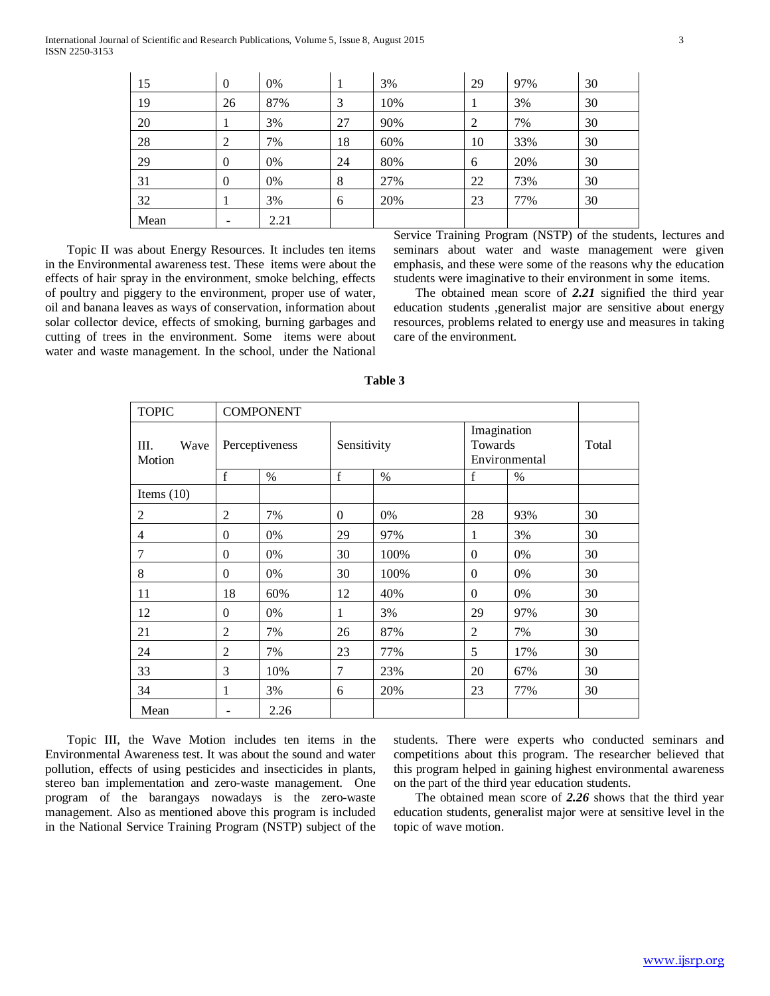| 15   | $\overline{0}$   | 0%   | 1  | 3%  | 29             | 97% | 30 |
|------|------------------|------|----|-----|----------------|-----|----|
| 19   | 26               | 87%  | 3  | 10% |                | 3%  | 30 |
| 20   | 1                | 3%   | 27 | 90% | $\overline{2}$ | 7%  | 30 |
| 28   | 2                | 7%   | 18 | 60% | 10             | 33% | 30 |
| 29   | $\boldsymbol{0}$ | 0%   | 24 | 80% | 6              | 20% | 30 |
| 31   | $\theta$         | 0%   | 8  | 27% | 22             | 73% | 30 |
| 32   | 1                | 3%   | 6  | 20% | 23             | 77% | 30 |
| Mean | -                | 2.21 |    |     |                |     |    |

 Topic II was about Energy Resources. It includes ten items in the Environmental awareness test. These items were about the effects of hair spray in the environment, smoke belching, effects of poultry and piggery to the environment, proper use of water, oil and banana leaves as ways of conservation, information about solar collector device, effects of smoking, burning garbages and cutting of trees in the environment. Some items were about water and waste management. In the school, under the National Service Training Program (NSTP) of the students, lectures and seminars about water and waste management were given emphasis, and these were some of the reasons why the education students were imaginative to their environment in some items.

 The obtained mean score of *2.21* signified the third year education students ,generalist major are sensitive about energy resources, problems related to energy use and measures in taking care of the environment.

| <b>TOPIC</b>         |                | <b>COMPONENT</b> |                |      |                        |               |       |
|----------------------|----------------|------------------|----------------|------|------------------------|---------------|-------|
| Wave<br>Ш.<br>Motion |                | Perceptiveness   | Sensitivity    |      | Imagination<br>Towards | Environmental | Total |
|                      | f              | $\%$             | f              | $\%$ | $\mathbf f$            | $\%$          |       |
| Items $(10)$         |                |                  |                |      |                        |               |       |
| $\overline{2}$       | $\overline{2}$ | 7%               | $\overline{0}$ | 0%   | 28                     | 93%           | 30    |
| $\overline{4}$       | $\mathbf{0}$   | 0%               | 29             | 97%  | 1                      | 3%            | 30    |
| 7                    | $\overline{0}$ | 0%               | 30             | 100% | $\mathbf{0}$           | 0%            | 30    |
| 8                    | $\Omega$       | 0%               | 30             | 100% | $\overline{0}$         | 0%            | 30    |
| 11                   | 18             | 60%              | 12             | 40%  | $\mathbf{0}$           | 0%            | 30    |
| 12                   | $\overline{0}$ | 0%               | $\mathbf{1}$   | 3%   | 29                     | 97%           | 30    |
| 21                   | 2              | 7%               | 26             | 87%  | $\overline{2}$         | 7%            | 30    |
| 24                   | $\overline{2}$ | 7%               | 23             | 77%  | 5                      | 17%           | 30    |
| 33                   | 3              | 10%              | 7              | 23%  | 20                     | 67%           | 30    |
| 34                   | 1              | 3%               | 6              | 20%  | 23                     | 77%           | 30    |
| Mean                 |                | 2.26             |                |      |                        |               |       |

**Table 3**

 Topic III, the Wave Motion includes ten items in the Environmental Awareness test. It was about the sound and water pollution, effects of using pesticides and insecticides in plants, stereo ban implementation and zero-waste management. One program of the barangays nowadays is the zero-waste management. Also as mentioned above this program is included in the National Service Training Program (NSTP) subject of the students. There were experts who conducted seminars and competitions about this program. The researcher believed that this program helped in gaining highest environmental awareness on the part of the third year education students.

 The obtained mean score of *2.26* shows that the third year education students, generalist major were at sensitive level in the topic of wave motion.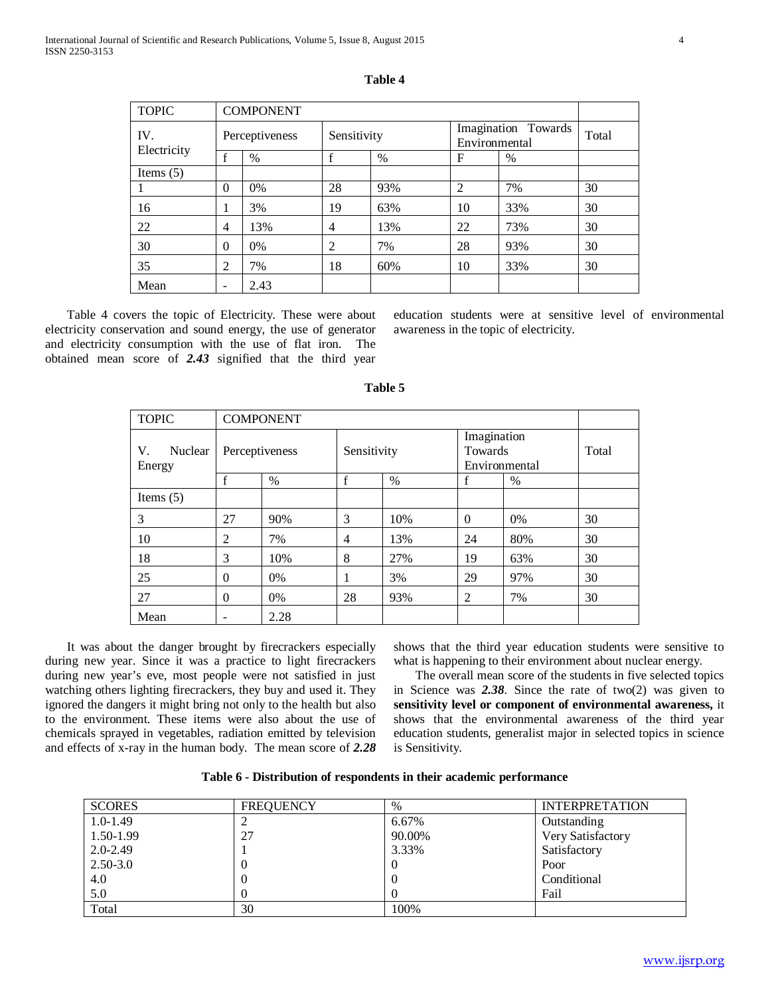| <b>TOPIC</b> |                | <b>COMPONENT</b> |             |      |                |                     |       |
|--------------|----------------|------------------|-------------|------|----------------|---------------------|-------|
| IV.          |                | Perceptiveness   | Sensitivity |      | Environmental  | Imagination Towards | Total |
| Electricity  |                | $\%$             |             | $\%$ | F              | %                   |       |
| Items $(5)$  |                |                  |             |      |                |                     |       |
|              | $\Omega$       | 0%               | 28          | 93%  | $\overline{2}$ | 7%                  | 30    |
| 16           | -              | 3%               | 19          | 63%  | 10             | 33%                 | 30    |
| 22           | $\overline{4}$ | 13%              | 4           | 13%  | 22             | 73%                 | 30    |
| 30           | $\Omega$       | $0\%$            | 2           | 7%   | 28             | 93%                 | 30    |
| 35           | $\overline{2}$ | 7%               | 18          | 60%  | 10             | 33%                 | 30    |

| n<br>L |  |
|--------|--|
|--------|--|

 Table 4 covers the topic of Electricity. These were about electricity conservation and sound energy, the use of generator and electricity consumption with the use of flat iron. The obtained mean score of *2.43* signified that the third year

Mean | - | 2.43

education students were at sensitive level of environmental awareness in the topic of electricity.

| <b>TOPIC</b>            |                | <b>COMPONENT</b> |                |      |                                         |      |       |
|-------------------------|----------------|------------------|----------------|------|-----------------------------------------|------|-------|
| V.<br>Nuclear<br>Energy | Perceptiveness |                  | Sensitivity    |      | Imagination<br>Towards<br>Environmental |      | Total |
|                         | $\mathbf f$    | $\%$             | $\mathbf f$    | $\%$ | f                                       | $\%$ |       |
| Items $(5)$             |                |                  |                |      |                                         |      |       |
| 3                       | 27             | 90%              | 3              | 10%  | $\Omega$                                | 0%   | 30    |
| 10                      | 2              | 7%               | $\overline{4}$ | 13%  | 24                                      | 80%  | 30    |
| 18                      | 3              | 10%              | 8              | 27%  | 19                                      | 63%  | 30    |
| 25                      | $\Omega$       | 0%               |                | 3%   | 29                                      | 97%  | 30    |
| 27                      | $\Omega$       | 0%               | 28             | 93%  | 2                                       | 7%   | 30    |
| Mean                    |                | 2.28             |                |      |                                         |      |       |

| `able |  |
|-------|--|
|-------|--|

 It was about the danger brought by firecrackers especially during new year. Since it was a practice to light firecrackers during new year's eve, most people were not satisfied in just watching others lighting firecrackers, they buy and used it. They ignored the dangers it might bring not only to the health but also to the environment. These items were also about the use of chemicals sprayed in vegetables, radiation emitted by television and effects of x-ray in the human body. The mean score of *2.28* shows that the third year education students were sensitive to what is happening to their environment about nuclear energy.

 The overall mean score of the students in five selected topics in Science was *2.38*. Since the rate of two(2) was given to **sensitivity level or component of environmental awareness,** it shows that the environmental awareness of the third year education students, generalist major in selected topics in science is Sensitivity.

|  | Table 6 - Distribution of respondents in their academic performance |  |  |
|--|---------------------------------------------------------------------|--|--|
|  |                                                                     |  |  |

| <b>SCORES</b> | <b>FREQUENCY</b> | $\%$   | <b>INTERPRETATION</b> |
|---------------|------------------|--------|-----------------------|
| $1.0 - 1.49$  |                  | 6.67%  | Outstanding           |
| 1.50-1.99     | 27               | 90.00% | Very Satisfactory     |
| $2.0 - 2.49$  |                  | 3.33%  | Satisfactory          |
| $2.50 - 3.0$  | $\theta$         |        | Poor                  |
| 4.0           | 0                |        | Conditional           |
| 5.0           | 0                |        | Fail                  |
| Total         | 30               | 100%   |                       |